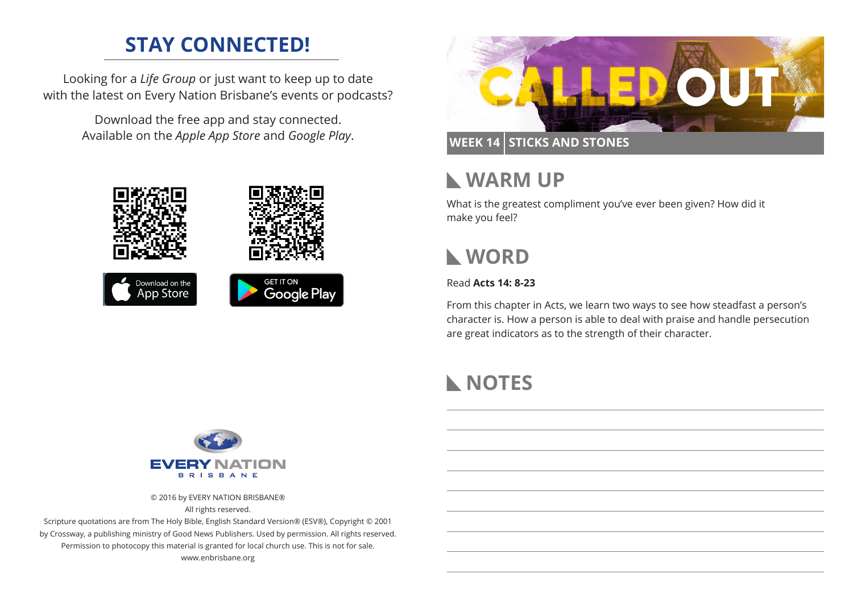# **STAY CONNECTED!**

Looking for a *Life Group* or just want to keep up to date with the latest on Every Nation Brisbane's events or podcasts?

> Download the free app and stay connected. Available on the *Apple App Store* and *Google Play*.





### **WEEK 14 STICKS AND STONES**

## **WARM UP**

What is the greatest compliment you've ever been given? How did it make you feel?

# **WORD**

### Read **Acts 14: 8-23**

From this chapter in Acts, we learn two ways to see how steadfast a person's character is. How a person is able to deal with praise and handle persecution are great indicators as to the strength of their character.

# **NOTES**



© 2016 by EVERY NATION BRISBANE®

All rights reserved.

Scripture quotations are from The Holy Bible, English Standard Version® (ESV®), Copyright © 2001 by Crossway, a publishing ministry of Good News Publishers. Used by permission. All rights reserved. Permission to photocopy this material is granted for local church use. This is not for sale. www.enbrisbane.org